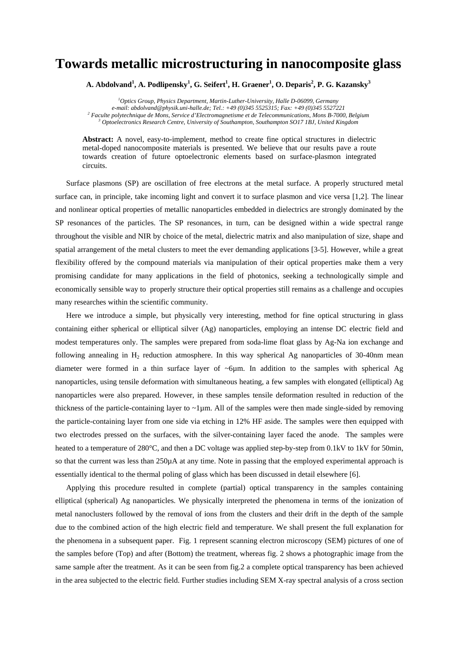## **Towards metallic microstructuring in nanocomposite glass**

 $\mathbf{A}.$  Abdolvand $^1$ ,  $\mathbf{A}.$  Podlipensky $^1, \mathbf{G}.$  Seifert $^1, \mathbf{H}.$  Graener $^1, \mathbf{O}.$  Deparis $^2,$  P. G. Kazansky $^3$ 

*1 Optics Group, Physics Department, Martin-Luther-University, Halle D-06099, Germany e-mail: [abdolvand@physik.uni-halle.de;](mailto:abdolvand@physik.uni-halle.de;) Tel.: +49 (0)345 5525315; Fax: +49 (0)345 5527221 2 Faculte polytechnique de Mons, Service d'Electromagnetisme et de Telecommunications, Mons B-7000, Belgium 3 Optoelectronics Research Centre, University of Southampton, Southampton SO17 1BJ, United Kingdom* 

**Abstract:** A novel, easy-to-implement, method to create fine optical structures in dielectric metal-doped nanocomposite materials is presented. We believe that our results pave a route towards creation of future optoelectronic elements based on surface-plasmon integrated circuits.

Surface plasmons (SP) are oscillation of free electrons at the metal surface. A properly structured metal surface can, in principle, take incoming light and convert it to surface plasmon and vice versa [1,2]. The linear and nonlinear optical properties of metallic nanoparticles embedded in dielectrics are strongly dominated by the SP resonances of the particles. The SP resonances, in turn, can be designed within a wide spectral range throughout the visible and NIR by choice of the metal, dielectric matrix and also manipulation of size, shape and spatial arrangement of the metal clusters to meet the ever demanding applications [3-5]. However, while a great flexibility offered by the compound materials via manipulation of their optical properties make them a very promising candidate for many applications in the field of photonics, seeking a technologically simple and economically sensible way to properly structure their optical properties still remains as a challenge and occupies many researches within the scientific community.

Here we introduce a simple, but physically very interesting, method for fine optical structuring in glass containing either spherical or elliptical silver (Ag) nanoparticles, employing an intense DC electric field and modest temperatures only. The samples were prepared from soda-lime float glass by Ag-Na ion exchange and following annealing in  $H_2$  reduction atmosphere. In this way spherical Ag nanoparticles of 30-40nm mean diameter were formed in a thin surface layer of  $\sim 6\mu$ m. In addition to the samples with spherical Ag nanoparticles, using tensile deformation with simultaneous heating, a few samples with elongated (elliptical) Ag nanoparticles were also prepared. However, in these samples tensile deformation resulted in reduction of the thickness of the particle-containing layer to  $\sim$ 1µm. All of the samples were then made single-sided by removing the particle-containing layer from one side via etching in 12% HF aside. The samples were then equipped with two electrodes pressed on the surfaces, with the silver-containing layer faced the anode. The samples were heated to a temperature of 280°C, and then a DC voltage was applied step-by-step from 0.1kV to 1kV for 50min, so that the current was less than 250µA at any time. Note in passing that the employed experimental approach is essentially identical to the thermal poling of glass which has been discussed in detail elsewhere [6].

Applying this procedure resulted in complete (partial) optical transparency in the samples containing elliptical (spherical) Ag nanoparticles. We physically interpreted the phenomena in terms of the ionization of metal nanoclusters followed by the removal of ions from the clusters and their drift in the depth of the sample due to the combined action of the high electric field and temperature. We shall present the full explanation for the phenomena in a subsequent paper. Fig. 1 represent scanning electron microscopy (SEM) pictures of one of the samples before (Top) and after (Bottom) the treatment, whereas fig. 2 shows a photographic image from the same sample after the treatment. As it can be seen from fig.2 a complete optical transparency has been achieved in the area subjected to the electric field. Further studies including SEM X-ray spectral analysis of a cross section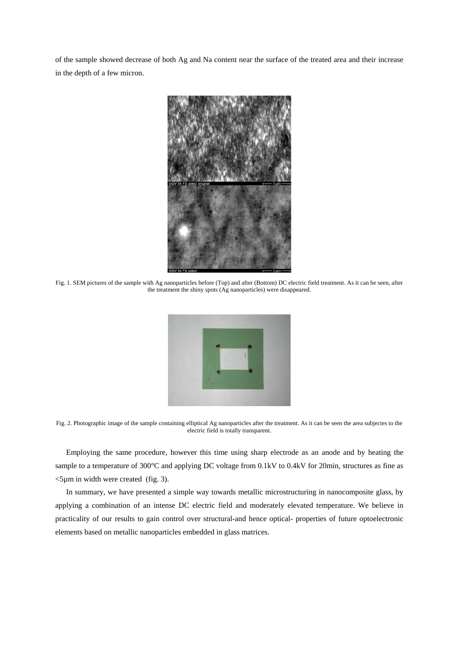of the sample showed decrease of both Ag and Na content near the surface of the treated area and their increase in the depth of a few micron.



Fig. 1. SEM pictures of the sample with Ag nanoparticles before (Top) and after (Bottom) DC electric field treatment. As it can be seen, after the treatment the shiny spots (Ag nanoparticles) were disappeared.



Fig. 2. Photographic image of the sample containing elliptical Ag nanoparticles after the treatment. As it can be seen the area subjectes to the electric field is totally transparent.

Employing the same procedure, however this time using sharp electrode as an anode and by heating the sample to a temperature of 300°C and applying DC voltage from 0.1kV to 0.4kV for 20min, structures as fine as <5µm in width were created (fig. 3).

In summary, we have presented a simple way towards metallic microstructuring in nanocomposite glass, by applying a combination of an intense DC electric field and moderately elevated temperature. We believe in practicality of our results to gain control over structural-and hence optical- properties of future optoelectronic elements based on metallic nanoparticles embedded in glass matrices.